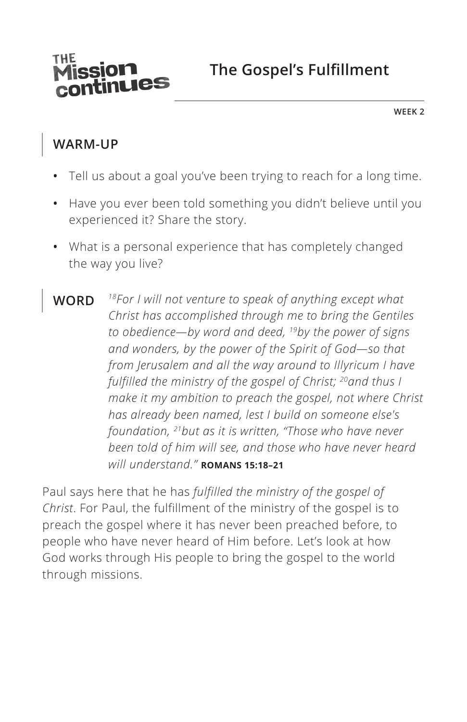

**WEEK 2**

## **WARM-UP**

- **•** Tell us about a goal you've been trying to reach for a long time.
- **•** Have you ever been told something you didn't believe until you experienced it? Share the story.
- **•** What is a personal experience that has completely changed the way you live?
- **WORD** *18For I will not venture to speak of anything except what Christ has accomplished through me to bring the Gentiles to obedience—by word and deed, 19by the power of signs and wonders, by the power of the Spirit of God—so that from Jerusalem and all the way around to Illyricum I have fulfilled the ministry of the gospel of Christ; 20and thus I make it my ambition to preach the gospel, not where Christ has already been named, lest I build on someone else's foundation, 21but as it is written, "Those who have never been told of him will see, and those who have never heard will understand." ^***ROMANS 15:18–21**

Paul says here that he has *fulfilled the ministry of the gospel of Christ*. For Paul, the fulfillment of the ministry of the gospel is to preach the gospel where it has never been preached before, to people who have never heard of Him before. Let's look at how God works through His people to bring the gospel to the world through missions.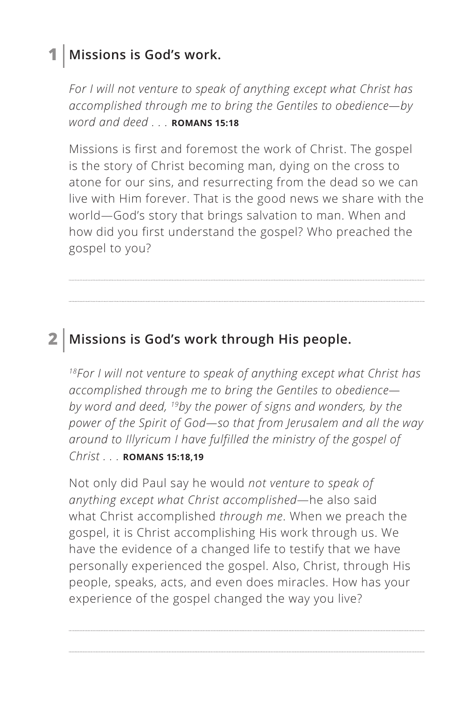## **1 Missions is God's work.**

*For I will not venture to speak of anything except what Christ has accomplished through me to bring the Gentiles to obedience—by word and deed . . . ^***ROMANS 15:18**

Missions is first and foremost the work of Christ. The gospel is the story of Christ becoming man, dying on the cross to atone for our sins, and resurrecting from the dead so we can live with Him forever. That is the good news we share with the world—God's story that brings salvation to man. When and how did you first understand the gospel? Who preached the gospel to you?

## **2 Missions is God's work through His people.**

*18For I will not venture to speak of anything except what Christ has accomplished through me to bring the Gentiles to obedience by word and deed, 19by the power of signs and wonders, by the power of the Spirit of God—so that from Jerusalem and all the way around to Illyricum I have fulfilled the ministry of the gospel of Christ . . . ^***ROMANS 15:18,19**

Not only did Paul say he would *not venture to speak of anything except what Christ accomplished*—he also said what Christ accomplished *through me*. When we preach the gospel, it is Christ accomplishing His work through us. We have the evidence of a changed life to testify that we have personally experienced the gospel. Also, Christ, through His people, speaks, acts, and even does miracles. How has your experience of the gospel changed the way you live?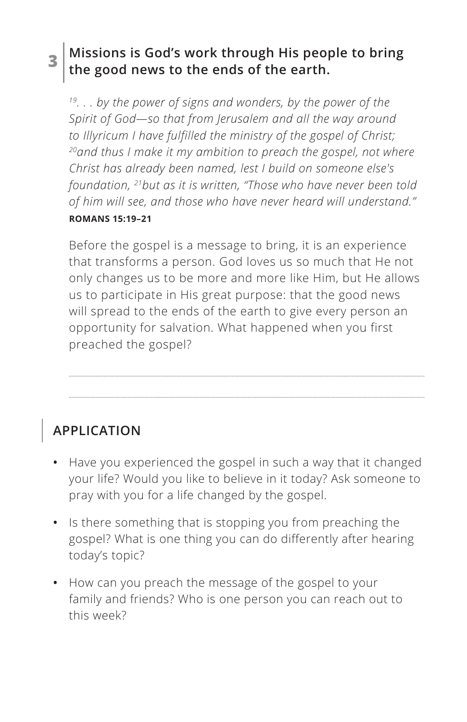#### **3 Missions is God's work through His people to bring the good news to the ends of the earth.**

*19. . . by the power of signs and wonders, by the power of the Spirit of God—so that from Jerusalem and all the way around to Illyricum I have fulfilled the ministry of the gospel of Christ; 20and thus I make it my ambition to preach the gospel, not where Christ has already been named, lest I build on someone else's foundation, 21but as it is written, "Those who have never been told of him will see, and those who have never heard will understand." ^***ROMANS 15:19–21**

Before the gospel is a message to bring, it is an experience that transforms a person. God loves us so much that He not only changes us to be more and more like Him, but He allows us to participate in His great purpose: that the good news will spread to the ends of the earth to give every person an opportunity for salvation. What happened when you first preached the gospel?

**APPLICATION**

- **•** Have you experienced the gospel in such a way that it changed your life? Would you like to believe in it today? Ask someone to pray with you for a life changed by the gospel.
- **•** Is there something that is stopping you from preaching the gospel? What is one thing you can do differently after hearing today's topic?
- **•** How can you preach the message of the gospel to your family and friends? Who is one person you can reach out to this week?